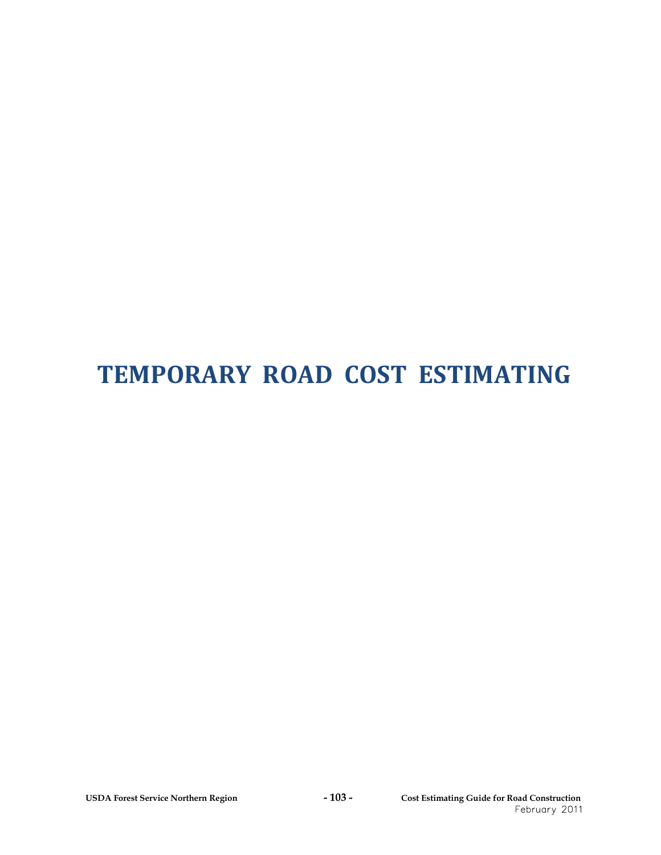# **TEMPORARY ROAD COST ESTIMATING**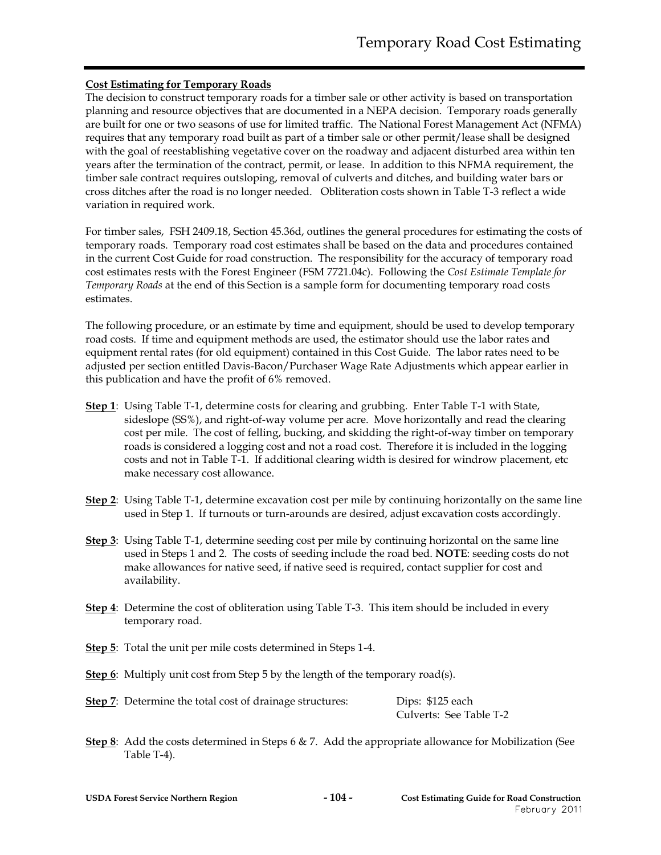#### **Cost Estimating for Temporary Roads**

The decision to construct temporary roads for a timber sale or other activity is based on transportation planning and resource objectives that are documented in a NEPA decision. Temporary roads generally are built for one or two seasons of use for limited traffic. The National Forest Management Act (NFMA) requires that any temporary road built as part of a timber sale or other permit/lease shall be designed with the goal of reestablishing vegetative cover on the roadway and adjacent disturbed area within ten years after the termination of the contract, permit, or lease. In addition to this NFMA requirement, the timber sale contract requires outsloping, removal of culverts and ditches, and building water bars or cross ditches after the road is no longer needed. Obliteration costs shown in Table T-3 reflect a wide variation in required work.

For timber sales, FSH 2409.18, Section 45.36d, outlines the general procedures for estimating the costs of temporary roads. Temporary road cost estimates shall be based on the data and procedures contained in the current Cost Guide for road construction. The responsibility for the accuracy of temporary road cost estimates rests with the Forest Engineer (FSM 7721.04c). Following the *Cost Estimate Template for Temporary Roads* at the end of this Section is a sample form for documenting temporary road costs estimates.

The following procedure, or an estimate by time and equipment, should be used to develop temporary road costs. If time and equipment methods are used, the estimator should use the labor rates and equipment rental rates (for old equipment) contained in this Cost Guide. The labor rates need to be adjusted per section entitled Davis-Bacon/Purchaser Wage Rate Adjustments which appear earlier in this publication and have the profit of 6% removed.

- **Step 1**: Using Table T-1, determine costs for clearing and grubbing. Enter Table T-1 with State, sideslope (SS%), and right-of-way volume per acre. Move horizontally and read the clearing cost per mile. The cost of felling, bucking, and skidding the right-of-way timber on temporary roads is considered a logging cost and not a road cost. Therefore it is included in the logging costs and not in Table T-1. If additional clearing width is desired for windrow placement, etc make necessary cost allowance.
- **Step 2**: Using Table T-1, determine excavation cost per mile by continuing horizontally on the same line used in Step 1. If turnouts or turn-arounds are desired, adjust excavation costs accordingly.
- **Step 3**: Using Table T-1, determine seeding cost per mile by continuing horizontal on the same line used in Steps 1 and 2. The costs of seeding include the road bed. **NOTE**: seeding costs do not make allowances for native seed, if native seed is required, contact supplier for cost and availability.
- **Step 4**: Determine the cost of obliteration using Table T-3. This item should be included in every temporary road.
- **Step 5**: Total the unit per mile costs determined in Steps 1-4.
- **Step 6**: Multiply unit cost from Step 5 by the length of the temporary road(s).

| <b>Step 7:</b> Determine the total cost of drainage structures: | Dips: \$125 each        |  |
|-----------------------------------------------------------------|-------------------------|--|
|                                                                 | Culverts: See Table T-2 |  |

**Step 8**: Add the costs determined in Steps 6 & 7. Add the appropriate allowance for Mobilization (See Table T-4).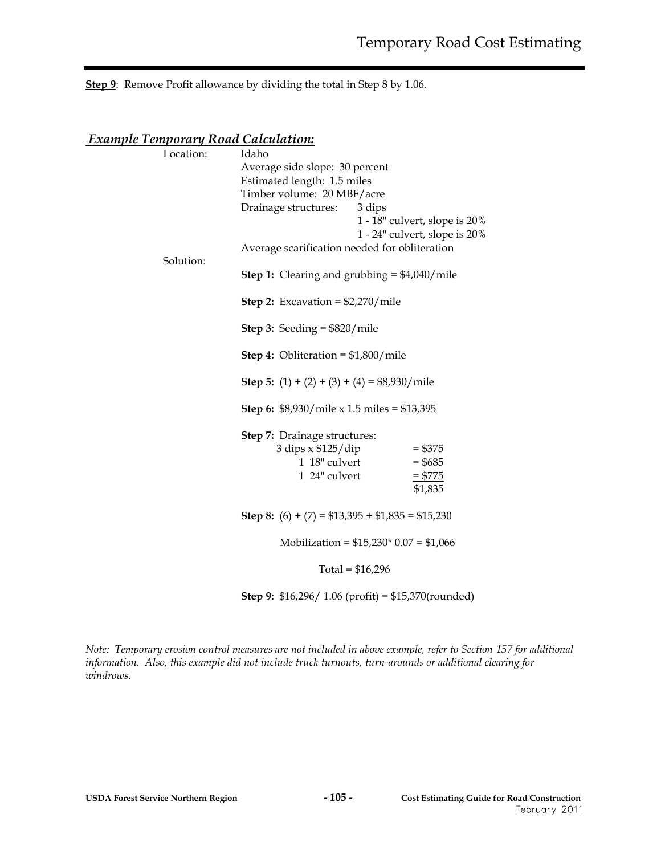**Step 9**: Remove Profit allowance by dividing the total in Step 8 by 1.06.

#### *Example Temporary Road Calculation:*

| Idaho                                |                                                                                                                                                                                                                                                                                                                                                                                                                                                                               |  |  |
|--------------------------------------|-------------------------------------------------------------------------------------------------------------------------------------------------------------------------------------------------------------------------------------------------------------------------------------------------------------------------------------------------------------------------------------------------------------------------------------------------------------------------------|--|--|
| Average side slope: 30 percent       |                                                                                                                                                                                                                                                                                                                                                                                                                                                                               |  |  |
| Estimated length: 1.5 miles          |                                                                                                                                                                                                                                                                                                                                                                                                                                                                               |  |  |
| Timber volume: 20 MBF/acre           |                                                                                                                                                                                                                                                                                                                                                                                                                                                                               |  |  |
|                                      |                                                                                                                                                                                                                                                                                                                                                                                                                                                                               |  |  |
|                                      | 1 - 18" culvert, slope is 20%                                                                                                                                                                                                                                                                                                                                                                                                                                                 |  |  |
|                                      | 1 - 24" culvert, slope is 20%                                                                                                                                                                                                                                                                                                                                                                                                                                                 |  |  |
|                                      |                                                                                                                                                                                                                                                                                                                                                                                                                                                                               |  |  |
|                                      |                                                                                                                                                                                                                                                                                                                                                                                                                                                                               |  |  |
|                                      |                                                                                                                                                                                                                                                                                                                                                                                                                                                                               |  |  |
|                                      |                                                                                                                                                                                                                                                                                                                                                                                                                                                                               |  |  |
| <b>Step 3:</b> Seeding = $$820/mile$ |                                                                                                                                                                                                                                                                                                                                                                                                                                                                               |  |  |
|                                      |                                                                                                                                                                                                                                                                                                                                                                                                                                                                               |  |  |
|                                      |                                                                                                                                                                                                                                                                                                                                                                                                                                                                               |  |  |
|                                      |                                                                                                                                                                                                                                                                                                                                                                                                                                                                               |  |  |
|                                      |                                                                                                                                                                                                                                                                                                                                                                                                                                                                               |  |  |
| <b>Step 7:</b> Drainage structures:  |                                                                                                                                                                                                                                                                                                                                                                                                                                                                               |  |  |
| 3 dips x \$125/dip                   | $= $375$                                                                                                                                                                                                                                                                                                                                                                                                                                                                      |  |  |
| 1 18" culvert                        | $= $685$                                                                                                                                                                                                                                                                                                                                                                                                                                                                      |  |  |
| 1 24" culvert                        | $= $775$                                                                                                                                                                                                                                                                                                                                                                                                                                                                      |  |  |
|                                      | \$1,835                                                                                                                                                                                                                                                                                                                                                                                                                                                                       |  |  |
|                                      |                                                                                                                                                                                                                                                                                                                                                                                                                                                                               |  |  |
|                                      |                                                                                                                                                                                                                                                                                                                                                                                                                                                                               |  |  |
|                                      |                                                                                                                                                                                                                                                                                                                                                                                                                                                                               |  |  |
|                                      | Drainage structures: 3 dips<br>Average scarification needed for obliteration<br><b>Step 1:</b> Clearing and grubbing = $$4,040$ /mile<br><b>Step 2:</b> Excavation = $$2,270/mile$<br><b>Step 4:</b> Obliteration = $$1,800/mile$<br><b>Step 5:</b> $(1) + (2) + (3) + (4) = $8,930/mile$<br><b>Step 6:</b> \$8,930/mile x 1.5 miles = \$13,395<br><b>Step 8:</b> (6) + (7) = $$13,395 + $1,835 = $15,230$<br>Mobilization = $$15,230$ * 0.07 = $$1,066$<br>Total = $$16,296$ |  |  |

**Step 9:** \$16,296/ 1.06 (profit) = \$15,370(rounded)

*Note: Temporary erosion control measures are not included in above example, refer to Section 157 for additional information. Also, this example did not include truck turnouts, turn-arounds or additional clearing for windrows.*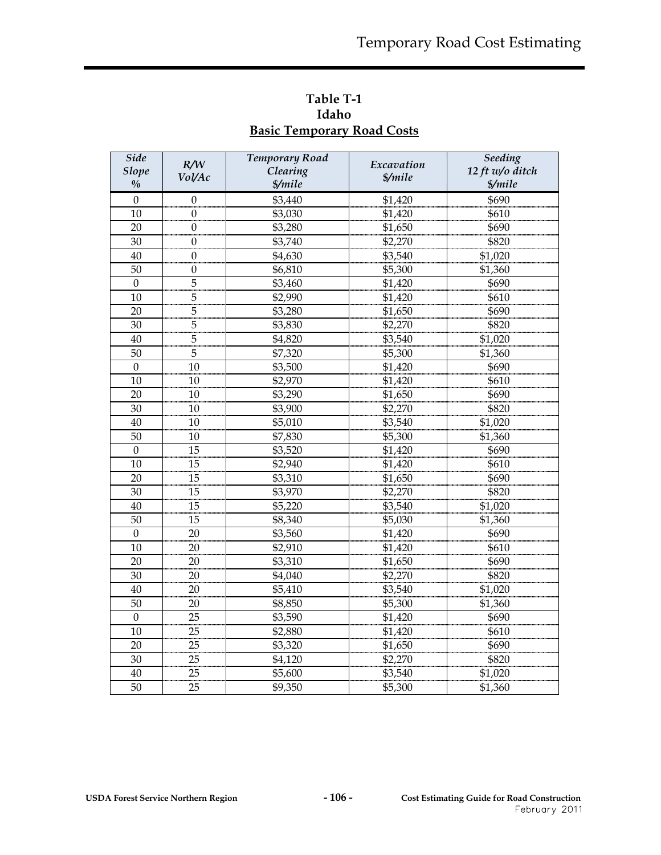| <b>Side</b><br><b>Slope</b><br>$\frac{0}{0}$ | R/W<br>Vol/Ac    | <b>Temporary Road</b><br>Clearing<br>\$/mile | Excavation<br>\$/mile | <b>Seeding</b><br>12 ft w/o ditch<br>\$/mile |
|----------------------------------------------|------------------|----------------------------------------------|-----------------------|----------------------------------------------|
| $\boldsymbol{0}$                             | 0                | \$3,440                                      | \$1,420               | \$690                                        |
| 10                                           | $\mathbf{0}$     | \$3,030                                      | \$1,420               | \$610                                        |
| 20                                           | $\boldsymbol{0}$ | \$3,280                                      | \$1,650               | \$690                                        |
| 30                                           | $\boldsymbol{0}$ | \$3,740                                      | \$2,270               | \$820                                        |
| 40                                           | $\theta$         | \$4,630                                      | \$3,540               | \$1,020                                      |
| 50                                           | 0                | \$6,810                                      | \$5,300               | \$1,360                                      |
| $\boldsymbol{0}$                             | 5                | \$3,460                                      | \$1,420               | \$690                                        |
| 10                                           | $\overline{5}$   | \$2,990                                      | \$1,420               | \$610                                        |
| 20                                           | $\overline{5}$   | \$3,280                                      | \$1,650               | \$690                                        |
| 30                                           | $\overline{5}$   | \$3,830                                      | \$2,270               | \$820                                        |
| 40                                           | 5                | \$4,820                                      | \$3,540               | \$1,020                                      |
| 50                                           | 5                | \$7,320                                      | \$5,300               | \$1,360                                      |
| $\mathbf{0}$                                 | 10               | \$3,500                                      | \$1,420               | \$690                                        |
| 10                                           | 10               | \$2,970                                      | \$1,420               | \$610                                        |
| 20                                           | 10               | \$3,290                                      | \$1,650               | \$690                                        |
| 30                                           | 10               | \$3,900                                      | \$2,270               | \$820                                        |
| 40                                           | 10               | \$5,010                                      | \$3,540               | \$1,020                                      |
| 50                                           | 10               | \$7,830                                      | \$5,300               | \$1,360                                      |
| $\mathbf{0}$                                 | 15               | \$3,520                                      | \$1,420               | \$690                                        |
| 10                                           | 15               | \$2,940                                      | \$1,420               | \$610                                        |
| 20                                           | 15               | \$3,310                                      | \$1,650               | \$690                                        |
| 30                                           | 15               | \$3,970                                      | \$2,270               | \$820                                        |
| 40                                           | 15               | \$5,220                                      | \$3,540               | \$1,020                                      |
| 50                                           | 15               | \$8,340                                      | \$5,030               | \$1,360                                      |
| $\boldsymbol{0}$                             | 20               | \$3,560                                      | \$1,420               | \$690                                        |
| 10                                           | 20               | \$2,910                                      | \$1,420               | \$610                                        |
| 20                                           | 20               | \$3,310                                      | \$1,650               | \$690                                        |
| 30                                           | 20               | \$4,040                                      | \$2,270               | \$820                                        |
| 40                                           | 20               | \$5,410                                      | \$3,540               | \$1,020                                      |
| 50                                           | 20               | \$8,850                                      | \$5,300               | \$1,360                                      |
| $\boldsymbol{0}$                             | 25               | \$3,590                                      | \$1,420               | \$690                                        |
| 10                                           | 25               | \$2,880                                      | \$1,420               | \$610                                        |
| 20                                           | 25               | \$3,320                                      | \$1,650               | \$690                                        |
| 30                                           | 25               | \$4,120                                      | \$2,270               | \$820                                        |
| 40                                           | 25               | \$5,600                                      | \$3,540               | \$1,020                                      |
| 50                                           | 25               | \$9,350                                      | \$5,300               | \$1,360                                      |

**Table T-1 Idaho Basic Temporary Road Costs**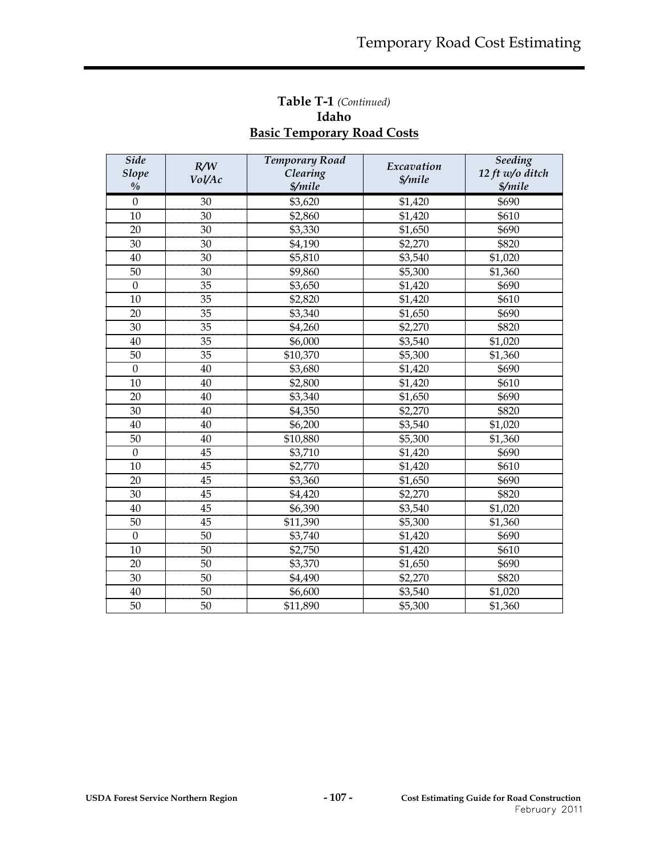## **Table T-1** *(Continued)* **Idaho Basic Temporary Road Costs**

| <b>Side</b><br><b>Slope</b><br>$\frac{0}{0}$ | R/W<br>Vol/Ac | <b>Temporary Road</b><br>Clearing<br>\$/mile | Excavation<br>\$/mile | Seeding<br>12 ft w/o ditch<br>\$/mile |
|----------------------------------------------|---------------|----------------------------------------------|-----------------------|---------------------------------------|
| $\boldsymbol{0}$                             | 30            | \$3,620                                      | \$1,420               | \$690                                 |
| 10                                           | 30            | \$2,860                                      | \$1,420               | \$610                                 |
| 20                                           | 30            | \$3,330                                      | \$1,650               | \$690                                 |
| 30                                           | 30            | \$4,190                                      | \$2,270               | \$820                                 |
| 40                                           | 30            | \$5,810                                      | \$3,540               | \$1,020                               |
| 50                                           | 30            | \$9,860                                      | \$5,300               | \$1,360                               |
| $\mathbf{0}$                                 | 35            | \$3,650                                      | \$1,420               | \$690                                 |
| 10                                           | 35            | \$2,820                                      | \$1,420               | \$610                                 |
| 20                                           | 35            | \$3,340                                      | \$1,650               | \$690                                 |
| 30                                           | 35            | \$4,260                                      | \$2,270               | \$820                                 |
| 40                                           | 35            | \$6,000                                      | \$3,540               | \$1,020                               |
| 50                                           | 35            | \$10,370                                     | \$5,300               | \$1,360                               |
| $\mathbf{0}$                                 | 40            | \$3,680                                      | \$1,420               | \$690                                 |
| 10                                           | 40            | \$2,800                                      | \$1,420               | \$610                                 |
| 20                                           | 40            | \$3,340                                      | \$1,650               | \$690                                 |
| 30                                           | 40            | \$4,350                                      | \$2,270               | \$820                                 |
| 40                                           | 40            | \$6,200                                      | \$3,540               | \$1,020                               |
| 50                                           | 40            | \$10,880                                     | \$5,300               | \$1,360                               |
| $\overline{0}$                               | 45            | \$3,710                                      | \$1,420               | \$690                                 |
| 10                                           | 45            | \$2,770                                      | \$1,420               | \$610                                 |
| 20                                           | 45            | \$3,360                                      | \$1,650               | \$690                                 |
| 30                                           | 45            | \$4,420                                      | \$2,270               | \$820                                 |
| 40                                           | 45            | \$6,390                                      | \$3,540               | \$1,020                               |
| 50                                           | 45            | \$11,390                                     | \$5,300               | \$1,360                               |
| $\mathbf{0}$                                 | 50            | \$3,740                                      | \$1,420               | \$690                                 |
| 10                                           | 50            | \$2,750                                      | \$1,420               | \$610                                 |
| 20                                           | 50            | \$3,370                                      | \$1,650               | \$690                                 |
| 30                                           | 50            | \$4,490                                      | \$2,270               | \$820                                 |
| 40                                           | 50            | \$6,600                                      | \$3,540               | \$1,020                               |
| 50                                           | 50            | \$11,890                                     | \$5,300               | \$1,360                               |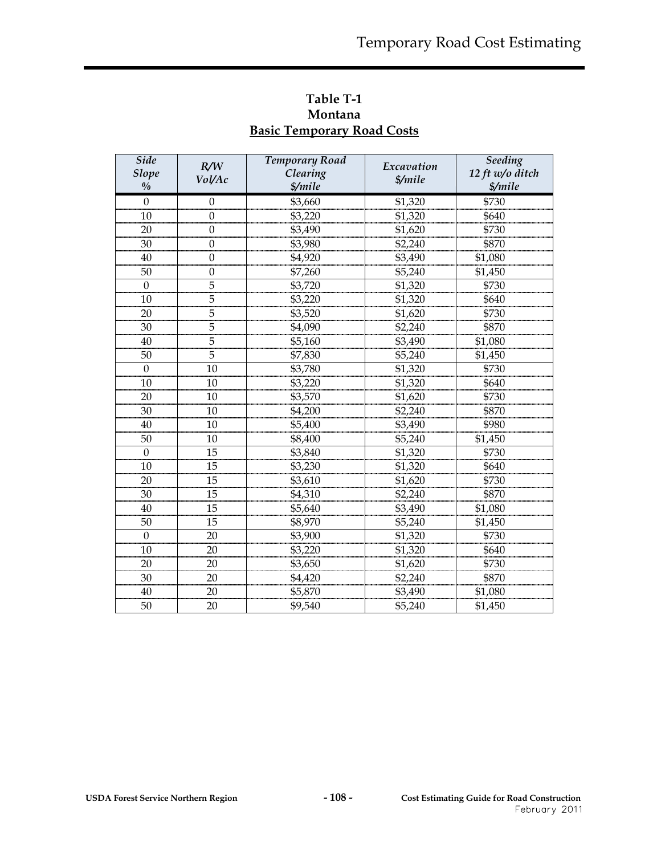| <b>Side</b><br><b>Slope</b><br>$\frac{0}{0}$ | R/W<br>Vol/Ac    | <b>Temporary Road</b><br>Clearing<br>\$/mile | Excavation<br>\$/mile | Seeding<br>12 ft w/o ditch<br>\$/mile |
|----------------------------------------------|------------------|----------------------------------------------|-----------------------|---------------------------------------|
| $\Omega$                                     | $\Omega$         | \$3,660                                      | \$1,320               | \$730                                 |
| 10                                           | $\theta$         | \$3,220                                      | \$1,320               | \$640                                 |
| 20                                           | $\theta$         | \$3,490                                      | \$1,620               | \$730                                 |
| 30                                           | $\theta$         | \$3,980                                      | \$2,240               | \$870                                 |
| 40                                           | $\mathbf{0}$     | \$4,920                                      | \$3,490               | \$1,080                               |
| 50                                           | $\boldsymbol{0}$ | \$7,260                                      | \$5,240               | \$1,450                               |
| $\boldsymbol{0}$                             | $\overline{5}$   | \$3,720                                      | \$1,320               | \$730                                 |
| 10                                           | 5                | \$3,220                                      | \$1,320               | \$640                                 |
| 20                                           | 5                | \$3,520                                      | \$1,620               | \$730                                 |
| 30                                           | 5                | \$4,090                                      | \$2,240               | \$870                                 |
| 40                                           | 5                | \$5,160                                      | \$3,490               | \$1,080                               |
| 50                                           | 5                | \$7,830                                      | \$5,240               | \$1,450                               |
| $\Omega$                                     | 10               | \$3,780                                      | \$1,320               | \$730                                 |
| 10                                           | 10               | \$3,220                                      | \$1,320               | \$640                                 |
| 20                                           | 10               | \$3,570                                      | \$1,620               | \$730                                 |
| 30                                           | 10               | \$4,200                                      | \$2,240               | \$870                                 |
| 40                                           | 10               | \$5,400                                      | \$3,490               | \$980                                 |
| 50                                           | 10               | \$8,400                                      | \$5,240               | \$1,450                               |
| $\theta$                                     | 15               | \$3,840                                      | \$1,320               | \$730                                 |
| 10                                           | 15               | \$3,230                                      | \$1,320               | \$640                                 |
| 20                                           | 15               | \$3,610                                      | \$1,620               | \$730                                 |
| 30                                           | 15               | \$4,310                                      | \$2,240               | \$870                                 |
| 40                                           | 15               | \$5,640                                      | \$3,490               | \$1,080                               |
| 50                                           | 15               | \$8,970                                      | \$5,240               | \$1,450                               |
| $\boldsymbol{0}$                             | 20               | \$3,900                                      | \$1,320               | \$730                                 |
| 10                                           | 20               | \$3,220                                      | \$1,320               | \$640                                 |
| 20                                           | 20               | \$3,650                                      | \$1,620               | \$730                                 |
| 30                                           | 20               | \$4,420                                      | \$2,240               | \$870                                 |
| 40                                           | 20               | \$5,870                                      | \$3,490               | \$1,080                               |
| 50                                           | 20               | \$9,540                                      | \$5,240               | \$1,450                               |

**Table T-1 Montana Basic Temporary Road Costs**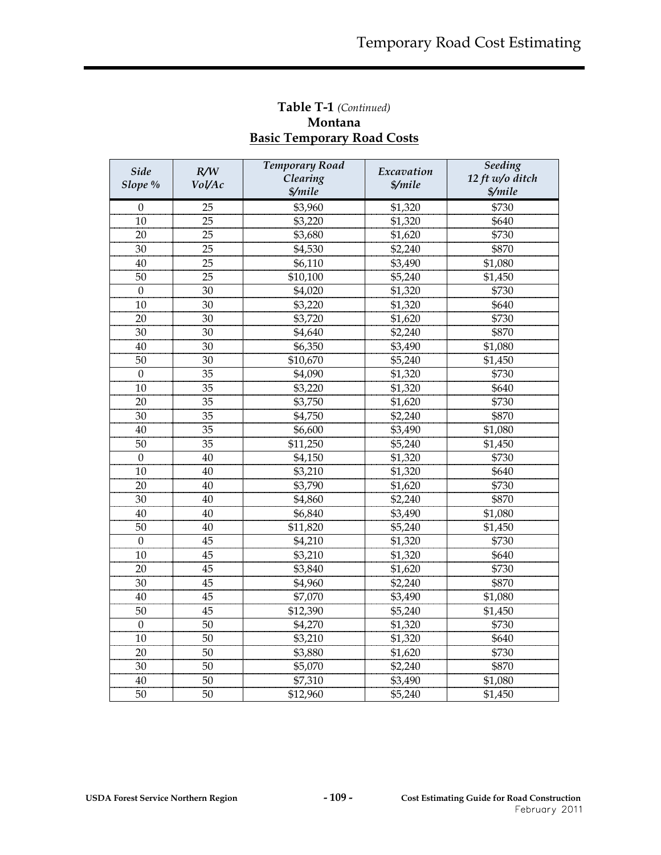## **Table T-1** *(Continued)* **Montana Basic Temporary Road Costs**

| <b>Side</b>      | R/W    | <b>Temporary Road</b><br>Clearing | Excavation | <b>Seeding</b><br>12 ft w/o ditch |
|------------------|--------|-----------------------------------|------------|-----------------------------------|
| Slope %          | Vol/Ac | \$/mile                           | \$/mile    | \$/mile                           |
| $\boldsymbol{0}$ | 25     | \$3,960                           | \$1,320    | \$730                             |
| 10               | 25     | \$3,220                           | \$1,320    | \$640                             |
| 20               | 25     | \$3,680                           | \$1,620    | \$730                             |
| 30               | 25     | \$4,530                           | \$2,240    | \$870                             |
| 40               | 25     | \$6,110                           | \$3,490    | \$1,080                           |
| 50               | 25     | \$10,100                          | \$5,240    | \$1,450                           |
| $\boldsymbol{0}$ | 30     | \$4,020                           | \$1,320    | \$730                             |
| 10               | 30     | \$3,220                           | \$1,320    | \$640                             |
| 20               | 30     | \$3,720                           | \$1,620    | \$730                             |
| 30               | 30     | \$4,640                           | \$2,240    | \$870                             |
| 40               | 30     | \$6,350                           | \$3,490    | \$1,080                           |
| 50               | 30     | \$10,670                          | \$5,240    | \$1,450                           |
| $\mathbf{0}$     | 35     | \$4,090                           | \$1,320    | \$730                             |
| 10               | 35     | \$3,220                           | \$1,320    | \$640                             |
| 20               | 35     | \$3,750                           | \$1,620    | \$730                             |
| 30               | 35     | \$4,750                           | \$2,240    | \$870                             |
| 40               | 35     | \$6,600                           | \$3,490    | \$1,080                           |
| 50               | 35     | \$11,250                          | \$5,240    | \$1,450                           |
| $\mathbf{0}$     | 40     | \$4,150                           | \$1,320    | \$730                             |
| 10               | 40     | \$3,210                           | \$1,320    | \$640                             |
| 20               | 40     | \$3,790                           | \$1,620    | \$730                             |
| 30               | 40     | \$4,860                           | \$2,240    | \$870                             |
| 40               | 40     | \$6,840                           | \$3,490    | \$1,080                           |
| 50               | 40     | \$11,820                          | \$5,240    | \$1,450                           |
| $\Omega$         | 45     | \$4,210                           | \$1,320    | \$730                             |
| 10               | 45     | \$3,210                           | \$1,320    | \$640                             |
| 20               | 45     | \$3,840                           | \$1,620    | \$730                             |
| 30               | 45     | \$4,960                           | \$2,240    | \$870                             |
| 40               | 45     | \$7,070                           | \$3,490    | \$1,080                           |
| 50               | 45     | \$12,390                          | \$5,240    | \$1,450                           |
| $\boldsymbol{0}$ | 50     | \$4,270                           | \$1,320    | \$730                             |
| 10               | 50     | \$3,210                           | \$1,320    | \$640                             |
| 20               | 50     | \$3,880                           | \$1,620    | \$730                             |
| 30               | 50     | \$5,070                           | \$2,240    | \$870                             |
| 40               | 50     | \$7,310                           | \$3,490    | \$1,080                           |
| 50               | 50     | \$12,960                          | \$5,240    | \$1,450                           |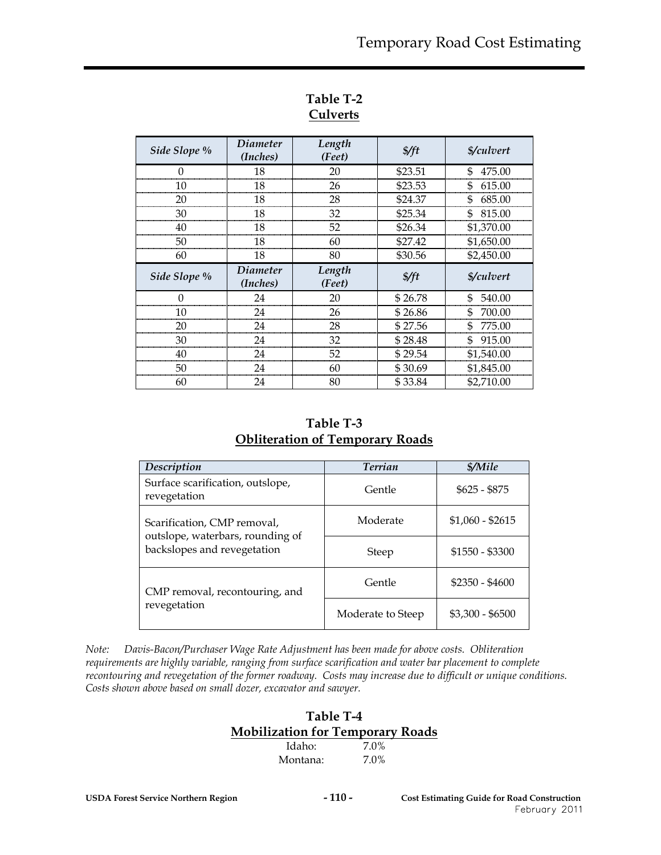| Side Slope % | <i>Diameter</i><br>(Inches) | Length<br>(Feet) | $\frac{f}{f}$ | <i><b>\$/culvert</b></i> |
|--------------|-----------------------------|------------------|---------------|--------------------------|
|              | 18                          | 20               | \$23.51       | \$<br>475.00             |
| 10           | 18                          | 26               | \$23.53       | \$<br>615.00             |
| 20           | 18                          | 28               | \$24.37       | \$<br>685.00             |
| 30           | 18                          | 32               | \$25.34       | \$815.00                 |
|              | 18                          | 52               | \$26.34       | \$1,370.00               |
| 50           | 18                          | 60               | \$27.42       | \$1,650.00               |
| 60           | 18                          | 80               | \$30.56       | \$2,450.00               |
|              |                             |                  |               |                          |
| Side Slope % | <i>Diameter</i><br>(Inches) | Length<br>(Feet) | $\frac{f}{f}$ | <i><b>\$/culvert</b></i> |
|              | 24                          | 20               | \$26.78       | 540.00<br>\$             |
| 10           | 24                          | 26               | \$26.86       | \$<br>700.00             |
| 20           | 24                          | 28               | \$27.56       | 775.00<br>\$             |
| 30           | 24                          | 32               | \$28.48       | \$<br>915.00             |
| 40           | 24                          | 52               | \$29.54       | \$1,540.00               |
| 50           | 24                          | 60               | \$30.69       | \$1,845.00               |

## **Table T-2 Culverts**

**Table T-3 Obliteration of Temporary Roads**

| Description                                                     | <b>Terrian</b>    | \$/Mile          |
|-----------------------------------------------------------------|-------------------|------------------|
| Surface scarification, outslope,<br>revegetation                | Gentle            | $$625 - $875$    |
| Scarification, CMP removal,                                     | Moderate          | $$1,060 - $2615$ |
| outslope, waterbars, rounding of<br>backslopes and revegetation | Steep             | $$1550 - $3300$  |
| CMP removal, recontouring, and                                  | Gentle            | $$2350 - $4600$  |
| revegetation                                                    | Moderate to Steep | $$3,300 - $6500$ |

*Note: Davis-Bacon/Purchaser Wage Rate Adjustment has been made for above costs. Obliteration requirements are highly variable, ranging from surface scarification and water bar placement to complete recontouring and revegetation of the former roadway. Costs may increase due to difficult or unique conditions. Costs shown above based on small dozer, excavator and sawyer.* 

#### **Table T-4 Mobilization for Temporary Roads**

| Idaho:   | 7.0% |
|----------|------|
| Montana: | 7.0% |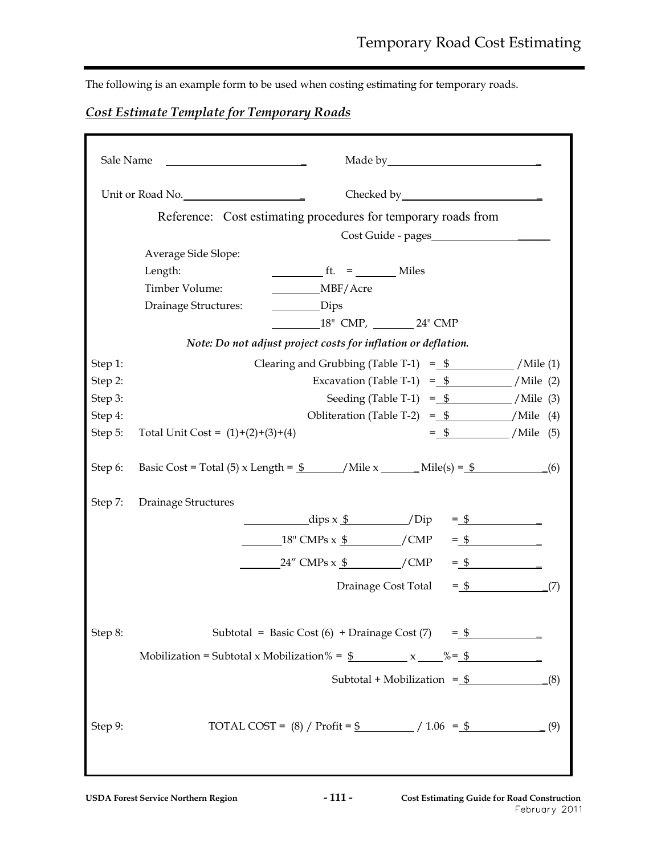The following is an example form to be used when costing estimating for temporary roads.

# *Cost Estimate Template for Temporary Roads*

| Sale Name |                                                                                              |
|-----------|----------------------------------------------------------------------------------------------|
|           | Unit or Road No.                                                                             |
|           | Reference: Cost estimating procedures for temporary roads from                               |
|           | Cost Guide - pages                                                                           |
|           | Average Side Slope:                                                                          |
|           | $f_{\text{t}} =$ Miles<br>Length:                                                            |
|           | MBF/Acre<br>Timber Volume:                                                                   |
|           | Drainage Structures:<br>$_{\text{Dips}}$                                                     |
|           | 18" CMP, 24" CMP                                                                             |
|           | Note: Do not adjust project costs for inflation or deflation.                                |
| Step 1:   | Clearing and Grubbing (Table T-1) = $\frac{1}{2}$ /Mile (1)                                  |
| Step 2:   | Excavation (Table T-1) = $\frac{1}{2}$ /Mile (2)                                             |
| Step 3:   | Seeding (Table T-1) = $\frac{6}{5}$ /Mile (3)                                                |
| Step 4:   | Obliteration (Table T-2) = $\frac{6}{5}$ /Mile (4)                                           |
| Step 5:   | $=$ \$ /Mile (5)<br>Total Unit Cost = $(1)+(2)+(3)+(4)$                                      |
| Step 6:   | Basic Cost = Total (5) x Length = $\frac{6}{2}$ /Mile x ________ Mile(s) = $\frac{6}{2}$ (6) |
| Step 7:   | Drainage Structures                                                                          |
|           | $\frac{dips x \frac{6}{3}}{1}$ /Dip = $\frac{6}{3}$                                          |
|           | $18'' \text{ CMPs} \times \frac{\text{C}}{2}$ / CMP = $\frac{\text{C}}{2}$                   |
|           | $=\oint$<br>$24''$ CMPs x $\frac{6}{9}$ / CMP                                                |
|           | $=$ \$ (7)<br>Drainage Cost Total                                                            |
|           |                                                                                              |
| Step 8:   | Subtotal = Basic Cost (6) + Drainage Cost (7) = $\frac{6}{5}$                                |
|           | Mobilization = Subtotal x Mobilization % = $\frac{6}{5}$ x $\frac{6}{5}$ % = $\frac{6}{5}$   |
|           | Subtotal + Mobilization = $\frac{1}{2}$<br>(8)                                               |
| Step 9:   | TOTAL COST = $(8)$ / Profit = $\frac{6}{2}$ / 1.06 = $\frac{6}{2}$<br>(9)                    |